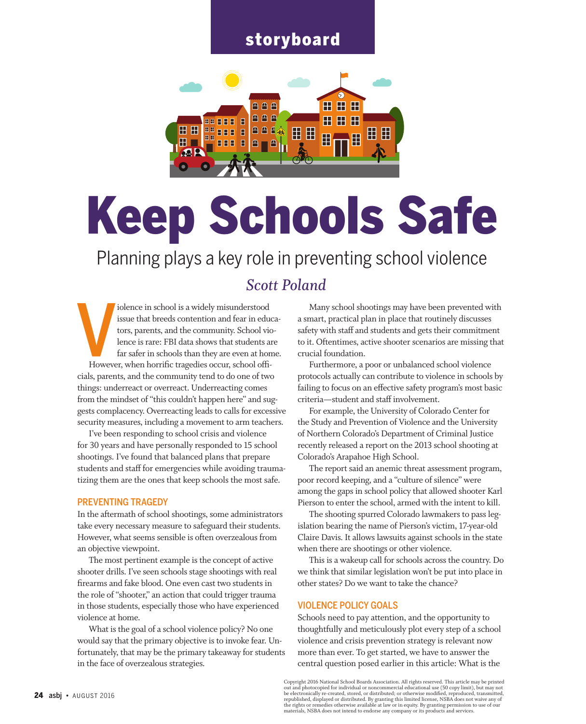## storyboard



# Keep Schools Safe

Planning plays a key role in preventing school violence

### *Scott Poland*

However iolence in school is a widely misunderstood issue that breeds contention and fear in educators, parents, and the community. School violence is rare: FBI data shows that students are far safer in schools than they are even at home. However, when horrific tragedies occur, school officials, parents, and the community tend to do one of two things: underreact or overreact. Underreacting comes from the mindset of "this couldn't happen here" and suggests complacency. Overreacting leads to calls for excessive security measures, including a movement to arm teachers.

I've been responding to school crisis and violence for 30 years and have personally responded to 15 school shootings. I've found that balanced plans that prepare students and staff for emergencies while avoiding traumatizing them are the ones that keep schools the most safe.

#### PREVENTING TRAGEDY

In the aftermath of school shootings, some administrators take every necessary measure to safeguard their students. However, what seems sensible is often overzealous from an objective viewpoint.

The most pertinent example is the concept of active shooter drills. I've seen schools stage shootings with real firearms and fake blood. One even cast two students in the role of "shooter," an action that could trigger trauma in those students, especially those who have experienced violence at home.

What is the goal of a school violence policy? No one would say that the primary objective is to invoke fear. Unfortunately, that may be the primary takeaway for students in the face of overzealous strategies.

Many school shootings may have been prevented with a smart, practical plan in place that routinely discusses safety with staff and students and gets their commitment to it. Oftentimes, active shooter scenarios are missing that crucial foundation.

Furthermore, a poor or unbalanced school violence protocols actually can contribute to violence in schools by failing to focus on an effective safety program's most basic criteria—student and staff involvement.

For example, the University of Colorado Center for the Study and Prevention of Violence and the University of Northern Colorado's Department of Criminal Justice recently released a report on the 2013 school shooting at Colorado's Arapahoe High School.

The report said an anemic threat assessment program, poor record keeping, and a "culture of silence" were among the gaps in school policy that allowed shooter Karl Pierson to enter the school, armed with the intent to kill.

The shooting spurred Colorado lawmakers to pass legislation bearing the name of Pierson's victim, 17-year-old Claire Davis. It allows lawsuits against schools in the state when there are shootings or other violence.

This is a wakeup call for schools across the country. Do we think that similar legislation won't be put into place in other states? Do we want to take the chance?

#### Violence policy goals

Schools need to pay attention, and the opportunity to thoughtfully and meticulously plot every step of a school violence and crisis prevention strategy is relevant now more than ever. To get started, we have to answer the central question posed earlier in this article: What is the

Copyright 2016 National School Boards Association. All rights reserved. This article may be printed<br>out and photocopied for individual or noncommercial educational use (50 copy limit), but may not<br>be electronically re-crea